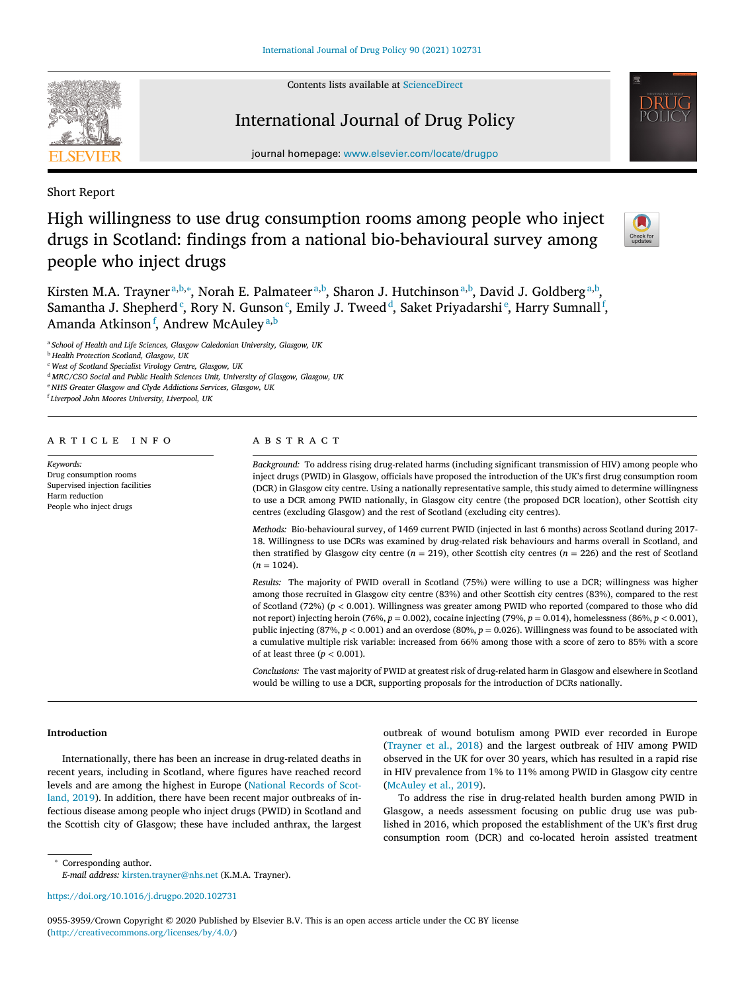Contents lists available at [ScienceDirect](http://www.ScienceDirect.com)

# International Journal of Drug Policy



Short Report

High willingness to use drug consumption rooms among people who inject drugs in Scotland: findings from a national bio-behavioural survey among people who inject drugs



Kirsten M.A. Trayner<sup>a,b,</sup>\*, Norah E. Palmateer<sup>a,b</sup>, Sharon J. Hutchinson<sup>a,b</sup>, David J. Goldberg<sup>a,b</sup>, Samantha J. Shepherd<sup>c</sup>, Rory N. Gunson<sup>c</sup>, Emily J. Tweed<sup>d</sup>, Saket Priyadarshi<sup>e</sup>, Harry Sumnall<sup>f</sup>, Amanda Atkinson<sup>f</sup>, Andrew McAuley<sup>a,b</sup>

<sup>a</sup> *School of Health and Life Sciences, Glasgow Caledonian University, Glasgow, UK*

<sup>b</sup> *Health Protection Scotland, Glasgow, UK*

<sup>c</sup> *West of Scotland Specialist Virology Centre, Glasgow, UK*

<sup>d</sup> *MRC/CSO Social and Public Health Sciences Unit, University of Glasgow, Glasgow, UK*

<sup>e</sup> *NHS Greater Glasgow and Clyde Addictions Services, Glasgow, UK*

<sup>f</sup> *Liverpool John Moores University, Liverpool, UK*

### a r t i c l e i n f o

*Keywords:* Drug consumption rooms Supervised injection facilities Harm reduction People who inject drugs

#### A B S T R A C T

*Background:* To address rising drug-related harms (including significant transmission of HIV) among people who inject drugs (PWID) in Glasgow, officials have proposed the introduction of the UK's first drug consumption room (DCR) in Glasgow city centre. Using a nationally representative sample, this study aimed to determine willingness to use a DCR among PWID nationally, in Glasgow city centre (the proposed DCR location), other Scottish city centres (excluding Glasgow) and the rest of Scotland (excluding city centres).

*Methods:* Bio-behavioural survey, of 1469 current PWID (injected in last 6 months) across Scotland during 2017- 18. Willingness to use DCRs was examined by drug-related risk behaviours and harms overall in Scotland, and then stratified by Glasgow city centre ( $n = 219$ ), other Scottish city centres ( $n = 226$ ) and the rest of Scotland  $(n = 1024)$ .

*Results:* The majority of PWID overall in Scotland (75%) were willing to use a DCR; willingness was higher among those recruited in Glasgow city centre (83%) and other Scottish city centres (83%), compared to the rest of Scotland (72%) (*p <* 0.001). Willingness was greater among PWID who reported (compared to those who did not report) injecting heroin (76%, *p* = 0.002), cocaine injecting (79%, *p* = 0.014), homelessness (86%, *p <* 0.001), public injecting  $(87%, p < 0.001)$  and an overdose  $(80%, p = 0.026)$ . Willingness was found to be associated with a cumulative multiple risk variable: increased from 66% among those with a score of zero to 85% with a score of at least three (*p <* 0.001).

*Conclusions:* The vast majority of PWID at greatest risk of drug-related harm in Glasgow and elsewhere in Scotland would be willing to use a DCR, supporting proposals for the introduction of DCRs nationally.

# **Introduction**

Internationally, there has been an increase in drug-related deaths in recent years, including in Scotland, where figures have reached record levels and are among the highest in Europe (National Records of Scotland, 2019). In addition, there have been recent major [outbreaks](#page-4-0) of infectious disease among people who inject drugs (PWID) in Scotland and the Scottish city of Glasgow; these have included anthrax, the largest outbreak of wound botulism among PWID ever recorded in Europe [\(Trayner](#page-4-0) et al., 2018) and the largest outbreak of HIV among PWID observed in the UK for over 30 years, which has resulted in a rapid rise in HIV prevalence from 1% to 11% among PWID in Glasgow city centre [\(McAuley](#page-4-0) et al., 2019).

To address the rise in drug-related health burden among PWID in Glasgow, a needs assessment focusing on public drug use was published in 2016, which proposed the establishment of the UK's first drug consumption room (DCR) and co-located heroin assisted treatment

<sup>∗</sup> Corresponding author.

*E-mail address:* [kirsten.trayner@nhs.net](mailto:kirsten.trayner@nhs.net) (K.M.A. Trayner).

0955-3959/Crown Copyright © 2020 Published by Elsevier B.V. This is an open access article under the CC BY license [\(http://creativecommons.org/licenses/by/4.0/\)](http://creativecommons.org/licenses/by/4.0/)

<https://doi.org/10.1016/j.drugpo.2020.102731>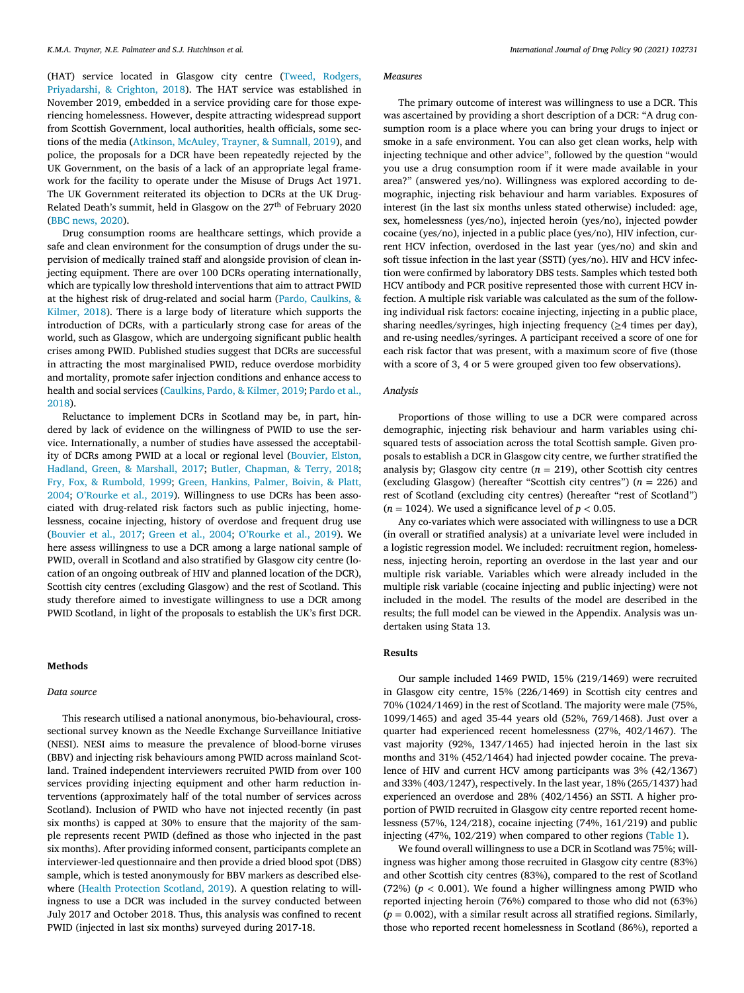(HAT) service located in Glasgow city centre (Tweed, Rodgers, [Priyadarshi,](#page-4-0) & Crighton, 2018). The HAT service was established in November 2019, embedded in a service providing care for those experiencing homelessness. However, despite attracting widespread support from Scottish Government, local authorities, health officials, some sections of the media [\(Atkinson,](#page-4-0) McAuley, Trayner, & Sumnall, 2019), and police, the proposals for a DCR have been repeatedly rejected by the UK Government, on the basis of a lack of an appropriate legal framework for the facility to operate under the Misuse of Drugs Act 1971. The UK Government reiterated its objection to DCRs at the UK Drug-Related Death's summit, held in Glasgow on the 27<sup>th</sup> of February 2020 (BBC [news,](#page-4-0) 2020).

Drug consumption rooms are healthcare settings, which provide a safe and clean environment for the consumption of drugs under the supervision of medically trained staff and alongside provision of clean injecting equipment. There are over 100 DCRs operating internationally, which are typically low threshold interventions that aim to attract PWID at the highest risk of [drug-related](#page-4-0) and social harm (Pardo, Caulkins, & Kilmer, 2018). There is a large body of literature which supports the introduction of DCRs, with a particularly strong case for areas of the world, such as Glasgow, which are undergoing significant public health crises among PWID. Published studies suggest that DCRs are successful in attracting the most marginalised PWID, reduce overdose morbidity and mortality, promote safer injection conditions and enhance access to health and social services [\(Caulkins,](#page-4-0) Pardo, & Kilmer, 2019; Pardo et al., 2018).

Reluctance to implement DCRs in Scotland may be, in part, hindered by lack of evidence on the willingness of PWID to use the service. Internationally, a number of studies have assessed the acceptability of DCRs among PWID at a local or regional level (Bouvier, Elston, Hadland, Green, & Marshall, 2017; Butler, [Chapman,](#page-4-0) & Terry, 2018; Fry, Fox, & [Rumbold,](#page-4-0) 1999; Green, Hankins, Palmer, Boivin, & Platt, 2004; [O'Rourke](#page-4-0) et al., 2019). [Willingness](#page-4-0) to use DCRs has been associated with drug-related risk factors such as public injecting, homelessness, cocaine injecting, history of overdose and frequent drug use [\(Bouvier](#page-4-0) et al., 2017; [Green](#page-4-0) et al., 2004; [O'Rourke](#page-4-0) et al., 2019). We here assess willingness to use a DCR among a large national sample of PWID, overall in Scotland and also stratified by Glasgow city centre (location of an ongoing outbreak of HIV and planned location of the DCR), Scottish city centres (excluding Glasgow) and the rest of Scotland. This study therefore aimed to investigate willingness to use a DCR among PWID Scotland, in light of the proposals to establish the UK's first DCR.

# **Methods**

## *Data source*

This research utilised a national anonymous, bio-behavioural, crosssectional survey known as the Needle Exchange Surveillance Initiative (NESI). NESI aims to measure the prevalence of blood-borne viruses (BBV) and injecting risk behaviours among PWID across mainland Scotland. Trained independent interviewers recruited PWID from over 100 services providing injecting equipment and other harm reduction interventions (approximately half of the total number of services across Scotland). Inclusion of PWID who have not injected recently (in past six months) is capped at 30% to ensure that the majority of the sample represents recent PWID (defined as those who injected in the past six months). After providing informed consent, participants complete an interviewer-led questionnaire and then provide a dried blood spot (DBS) sample, which is tested anonymously for BBV markers as described elsewhere (Health [Protection](#page-4-0) Scotland, 2019). A question relating to willingness to use a DCR was included in the survey conducted between July 2017 and October 2018. Thus, this analysis was confined to recent PWID (injected in last six months) surveyed during 2017-18.

# *Measures*

The primary outcome of interest was willingness to use a DCR. This was ascertained by providing a short description of a DCR: "A drug consumption room is a place where you can bring your drugs to inject or smoke in a safe environment. You can also get clean works, help with injecting technique and other advice", followed by the question "would you use a drug consumption room if it were made available in your area?" (answered yes/no). Willingness was explored according to demographic, injecting risk behaviour and harm variables. Exposures of interest (in the last six months unless stated otherwise) included: age, sex, homelessness (yes/no), injected heroin (yes/no), injected powder cocaine (yes/no), injected in a public place (yes/no), HIV infection, current HCV infection, overdosed in the last year (yes/no) and skin and soft tissue infection in the last year (SSTI) (yes/no). HIV and HCV infection were confirmed by laboratory DBS tests. Samples which tested both HCV antibody and PCR positive represented those with current HCV infection. A multiple risk variable was calculated as the sum of the following individual risk factors: cocaine injecting, injecting in a public place, sharing needles/syringes, high injecting frequency ( $\geq$ 4 times per day), and re-using needles/syringes. A participant received a score of one for each risk factor that was present, with a maximum score of five (those with a score of 3, 4 or 5 were grouped given too few observations).

# *Analysis*

Proportions of those willing to use a DCR were compared across demographic, injecting risk behaviour and harm variables using chisquared tests of association across the total Scottish sample. Given proposals to establish a DCR in Glasgow city centre, we further stratified the analysis by; Glasgow city centre  $(n = 219)$ , other Scottish city centres (excluding Glasgow) (hereafter "Scottish city centres") (*n* = 226) and rest of Scotland (excluding city centres) (hereafter "rest of Scotland")  $(n = 1024)$ . We used a significance level of  $p < 0.05$ .

Any co-variates which were associated with willingness to use a DCR (in overall or stratified analysis) at a univariate level were included in a logistic regression model. We included: recruitment region, homelessness, injecting heroin, reporting an overdose in the last year and our multiple risk variable. Variables which were already included in the multiple risk variable (cocaine injecting and public injecting) were not included in the model. The results of the model are described in the results; the full model can be viewed in the Appendix. Analysis was undertaken using Stata 13.

# **Results**

Our sample included 1469 PWID, 15% (219/1469) were recruited in Glasgow city centre, 15% (226/1469) in Scottish city centres and 70% (1024/1469) in the rest of Scotland. The majority were male (75%, 1099/1465) and aged 35-44 years old (52%, 769/1468). Just over a quarter had experienced recent homelessness (27%, 402/1467). The vast majority (92%, 1347/1465) had injected heroin in the last six months and 31% (452/1464) had injected powder cocaine. The prevalence of HIV and current HCV among participants was 3% (42/1367) and 33% (403/1247), respectively. In the last year, 18% (265/1437) had experienced an overdose and 28% (402/1456) an SSTI. A higher proportion of PWID recruited in Glasgow city centre reported recent homelessness (57%, 124/218), cocaine injecting (74%, 161/219) and public injecting (47%, 102/219) when compared to other regions [\(Table](#page-2-0) 1).

We found overall willingness to use a DCR in Scotland was 75%; willingness was higher among those recruited in Glasgow city centre (83%) and other Scottish city centres (83%), compared to the rest of Scotland (72%) ( $p < 0.001$ ). We found a higher willingness among PWID who reported injecting heroin (76%) compared to those who did not (63%)  $(p = 0.002)$ , with a similar result across all stratified regions. Similarly, those who reported recent homelessness in Scotland (86%), reported a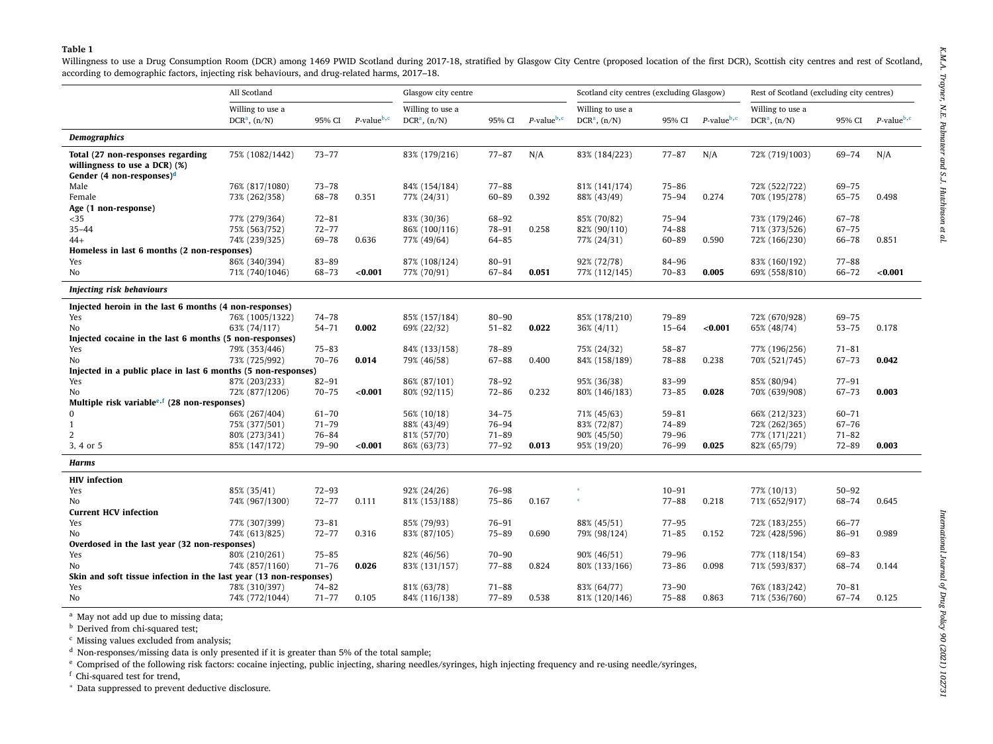<span id="page-2-0"></span>

|                                                                                                                                                                                                                                                                                                                                                                                                                                                | All Scotland                         |           |                            | Glasgow city centre                  |           |                      | Scotland city centres (excluding Glasgow) |           |                  | Rest of Scotland (excluding city centres) |           |                            |
|------------------------------------------------------------------------------------------------------------------------------------------------------------------------------------------------------------------------------------------------------------------------------------------------------------------------------------------------------------------------------------------------------------------------------------------------|--------------------------------------|-----------|----------------------------|--------------------------------------|-----------|----------------------|-------------------------------------------|-----------|------------------|-------------------------------------------|-----------|----------------------------|
|                                                                                                                                                                                                                                                                                                                                                                                                                                                | Willing to use a<br>$DCRa$ , $(n/N)$ | 95% CI    | $P$ -value <sup>b, c</sup> | Willing to use a<br>$DCRa$ , $(n/N)$ | 95% CI    | $P$ -value $b$ , $c$ | Willing to use a<br>$DCRa$ , $(n/N)$      | 95% CI    | $P$ -value $b,c$ | Willing to use a<br>$DCRa$ , $(n/N)$      | 95% CI    | $P$ -value <sup>b, c</sup> |
| <b>Demographics</b>                                                                                                                                                                                                                                                                                                                                                                                                                            |                                      |           |                            |                                      |           |                      |                                           |           |                  |                                           |           |                            |
| Total (27 non-responses regarding                                                                                                                                                                                                                                                                                                                                                                                                              | 75% (1082/1442)                      | $73 - 77$ |                            | 83% (179/216)                        | $77 - 87$ | N/A                  | 83% (184/223)                             | $77 - 87$ | N/A              | 72% (719/1003)                            | 69-74     | N/A                        |
| willingness to use a DCR) (%)                                                                                                                                                                                                                                                                                                                                                                                                                  |                                      |           |                            |                                      |           |                      |                                           |           |                  |                                           |           |                            |
| Gender (4 non-responses) <sup>d</sup>                                                                                                                                                                                                                                                                                                                                                                                                          |                                      |           |                            |                                      |           |                      |                                           |           |                  |                                           |           |                            |
| Male                                                                                                                                                                                                                                                                                                                                                                                                                                           | 76% (817/1080)                       | $73 - 78$ |                            | 84% (154/184)                        | $77 - 88$ |                      | 81% (141/174)                             | $75 - 86$ |                  | 72% (522/722)                             | 69-75     |                            |
| Female                                                                                                                                                                                                                                                                                                                                                                                                                                         | 73% (262/358)                        | $68 - 78$ | 0.351                      | 77% (24/31)                          | 60-89     | 0.392                | 88% (43/49)                               | $75 - 94$ | 0.274            | 70% (195/278)                             | $65 - 75$ | 0.498                      |
| Age (1 non-response)                                                                                                                                                                                                                                                                                                                                                                                                                           |                                      |           |                            |                                      |           |                      |                                           |           |                  |                                           |           |                            |
| $35$                                                                                                                                                                                                                                                                                                                                                                                                                                           | 77% (279/364)                        | $72 - 81$ |                            | 83% (30/36)                          | 68-92     |                      | 85% (70/82)                               | $75 - 94$ |                  | 73% (179/246)                             | $67 - 78$ |                            |
| $35 - 44$                                                                                                                                                                                                                                                                                                                                                                                                                                      | 75% (563/752)                        | $72 - 77$ |                            | 86% (100/116)                        | 78-91     | 0.258                | 82% (90/110)                              | 74-88     |                  | 71% (373/526)                             | $67 - 75$ |                            |
| $44+$                                                                                                                                                                                                                                                                                                                                                                                                                                          | 74% (239/325)                        | 69-78     | 0.636                      | 77% (49/64)                          | 64-85     |                      | 77% (24/31)                               | 60-89     | 0.590            | 72% (166/230)                             | $66 - 78$ | 0.851                      |
| Homeless in last 6 months (2 non-responses)                                                                                                                                                                                                                                                                                                                                                                                                    |                                      |           |                            |                                      |           |                      |                                           |           |                  |                                           |           |                            |
| Yes                                                                                                                                                                                                                                                                                                                                                                                                                                            | 86% (340/394)                        | $83 - 89$ |                            | 87% (108/124)                        | $80 - 91$ |                      | 92% (72/78)                               | 84-96     |                  | 83% (160/192)                             | $77 - 88$ |                            |
| No                                                                                                                                                                                                                                                                                                                                                                                                                                             | 71% (740/1046)                       | 68-73     | < 0.001                    | 77% (70/91)                          | 67-84     | 0.051                | 77% (112/145)                             | $70 - 83$ | 0.005            | 69% (558/810)                             | $66 - 72$ | < 0.001                    |
| <b>Injecting risk behaviours</b>                                                                                                                                                                                                                                                                                                                                                                                                               |                                      |           |                            |                                      |           |                      |                                           |           |                  |                                           |           |                            |
| Injected heroin in the last 6 months (4 non-responses)                                                                                                                                                                                                                                                                                                                                                                                         |                                      |           |                            |                                      |           |                      |                                           |           |                  |                                           |           |                            |
| Yes                                                                                                                                                                                                                                                                                                                                                                                                                                            | 76% (1005/1322)                      | $74 - 78$ |                            | 85% (157/184)                        | $80 - 90$ |                      | 85% (178/210)                             | 79-89     |                  | 72% (670/928)                             | $69 - 75$ |                            |
| No                                                                                                                                                                                                                                                                                                                                                                                                                                             | 63% (74/117)                         | $54 - 71$ | 0.002                      | 69% (22/32)                          | $51 - 82$ | 0.022                | $36\% (4/11)$                             | $15 - 64$ | < 0.001          | 65% (48/74)                               | $53 - 75$ | 0.178                      |
| Injected cocaine in the last 6 months (5 non-responses)                                                                                                                                                                                                                                                                                                                                                                                        |                                      |           |                            |                                      |           |                      |                                           |           |                  |                                           |           |                            |
| Yes                                                                                                                                                                                                                                                                                                                                                                                                                                            | 79% (353/446)                        | $75 - 83$ |                            | 84% (133/158)                        | 78-89     |                      | 75% (24/32)                               | $58 - 87$ |                  | 77% (196/256)                             | $71 - 81$ |                            |
| No                                                                                                                                                                                                                                                                                                                                                                                                                                             | 73% (725/992)                        | $70 - 76$ | 0.014                      | 79% (46/58)                          | 67-88     | 0.400                | 84% (158/189)                             | 78-88     | 0.238            | 70% (521/745)                             | $67 - 73$ | 0.042                      |
| Injected in a public place in last 6 months (5 non-responses)                                                                                                                                                                                                                                                                                                                                                                                  |                                      |           |                            |                                      |           |                      |                                           |           |                  |                                           |           |                            |
| Yes                                                                                                                                                                                                                                                                                                                                                                                                                                            | 87% (203/233)                        | $82 - 91$ |                            | 86% (87/101)                         | 78-92     |                      | 95% (36/38)                               | 83-99     |                  | 85% (80/94)                               | $77 - 91$ |                            |
| No                                                                                                                                                                                                                                                                                                                                                                                                                                             | 72% (877/1206)                       | $70 - 75$ | < 0.001                    | 80% (92/115)                         | $72 - 86$ | 0.232                | 80% (146/183)                             | $73 - 85$ | 0.028            | 70% (639/908)                             | $67 - 73$ | 0.003                      |
| Multiple risk variable <sup>e,f</sup> (28 non-responses)                                                                                                                                                                                                                                                                                                                                                                                       |                                      |           |                            |                                      |           |                      |                                           |           |                  |                                           |           |                            |
|                                                                                                                                                                                                                                                                                                                                                                                                                                                | 66% (267/404)                        | $61 - 70$ |                            | 56% (10/18)                          | $34 - 75$ |                      | 71% (45/63)                               | $59 - 81$ |                  | 66% (212/323)                             | $60 - 71$ |                            |
|                                                                                                                                                                                                                                                                                                                                                                                                                                                | 75% (377/501)                        | $71 - 79$ |                            | 88% (43/49)                          | 76-94     |                      | 83% (72/87)                               | 74-89     |                  | 72% (262/365)                             | $67 - 76$ |                            |
|                                                                                                                                                                                                                                                                                                                                                                                                                                                | 80% (273/341)                        | 76-84     |                            | 81% (57/70)                          | $71 - 89$ |                      | 90% (45/50)                               | 79-96     |                  | 77% (171/221)                             | $71 - 82$ |                            |
| 3, 4 or 5                                                                                                                                                                                                                                                                                                                                                                                                                                      | 85% (147/172)                        | 79-90     | < 0.001                    | 86% (63/73)                          | $77 - 92$ | 0.013                | 95% (19/20)                               | 76-99     | 0.025            | 82% (65/79)                               | $72 - 89$ | 0.003                      |
| <b>Harms</b>                                                                                                                                                                                                                                                                                                                                                                                                                                   |                                      |           |                            |                                      |           |                      |                                           |           |                  |                                           |           |                            |
| <b>HIV</b> infection                                                                                                                                                                                                                                                                                                                                                                                                                           |                                      |           |                            |                                      |           |                      |                                           |           |                  |                                           |           |                            |
| Yes                                                                                                                                                                                                                                                                                                                                                                                                                                            | 85% (35/41)                          | $72 - 93$ |                            | 92% (24/26)                          | 76-98     |                      |                                           | $10 - 91$ |                  | 77% (10/13)                               | $50 - 92$ |                            |
| No                                                                                                                                                                                                                                                                                                                                                                                                                                             | 74% (967/1300)                       | $72 - 77$ | 0.111                      | 81% (153/188)                        | $75 - 86$ | 0.167                |                                           | $77 - 88$ | 0.218            | 71% (652/917)                             | 68-74     | 0.645                      |
| <b>Current HCV infection</b>                                                                                                                                                                                                                                                                                                                                                                                                                   |                                      |           |                            |                                      |           |                      |                                           |           |                  |                                           |           |                            |
| Yes                                                                                                                                                                                                                                                                                                                                                                                                                                            | 77% (307/399)                        | $73 - 81$ |                            | 85% (79/93)                          | $76 - 91$ |                      | 88% (45/51)                               | $77 - 95$ |                  | 72% (183/255)                             | $66 - 77$ |                            |
| No                                                                                                                                                                                                                                                                                                                                                                                                                                             | 74% (613/825)                        | $72 - 77$ | 0.316                      | 83% (87/105)                         | $75 - 89$ | 0.690                | 79% (98/124)                              | $71 - 85$ | 0.152            | 72% (428/596)                             | $86 - 91$ | 0.989                      |
| Overdosed in the last year (32 non-responses)                                                                                                                                                                                                                                                                                                                                                                                                  |                                      |           |                            |                                      |           |                      |                                           |           |                  |                                           |           |                            |
| Yes                                                                                                                                                                                                                                                                                                                                                                                                                                            | 80% (210/261)                        | $75 - 85$ |                            | 82% (46/56)                          | $70 - 90$ |                      | 90% (46/51)                               | 79-96     |                  | 77% (118/154)                             | 69-83     |                            |
| No                                                                                                                                                                                                                                                                                                                                                                                                                                             | 74% (857/1160)                       | $71 - 76$ | 0.026                      | 83% (131/157)                        | $77 - 88$ | 0.824                | 80% (133/166)                             | $73 - 86$ | 0.098            | 71% (593/837)                             | 68-74     | 0.144                      |
| Skin and soft tissue infection in the last year (13 non-responses)                                                                                                                                                                                                                                                                                                                                                                             |                                      |           |                            |                                      |           |                      |                                           |           |                  |                                           |           |                            |
| Yes                                                                                                                                                                                                                                                                                                                                                                                                                                            | 78% (310/397)                        | $74 - 82$ |                            | 81% (63/78)                          | $71 - 88$ |                      | 83% (64/77)                               | $73 - 90$ |                  | 76% (183/242)                             | $70 - 81$ |                            |
| No                                                                                                                                                                                                                                                                                                                                                                                                                                             | 74% (772/1044)                       | $71 - 77$ | 0.105                      | 84% (116/138)                        | $77 - 89$ | 0.538                | 81% (120/146)                             | $75 - 88$ | 0.863            | 71% (536/760)                             | $67 - 74$ | 0.125                      |
| <sup>a</sup> May not add up due to missing data;<br><sup>b</sup> Derived from chi-squared test;<br><sup>c</sup> Missing values excluded from analysis;<br>$^{\rm d}$ Non-responses/missing data is only presented if it is greater than 5% of the total sample;<br><sup>e</sup> Comprised of the following risk factors: cocaine injecting, public injecting, sharing needles/syringes, high injecting frequency and re-using needle/syringes, |                                      |           |                            |                                      |           |                      |                                           |           |                  |                                           |           |                            |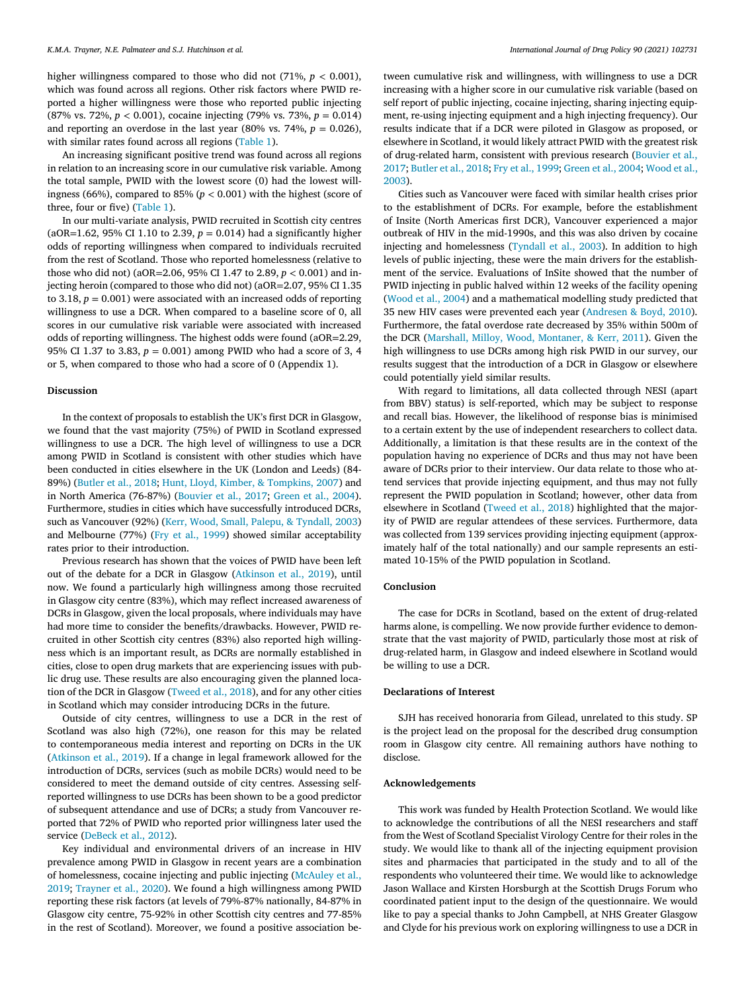higher willingness compared to those who did not  $(71\%, p < 0.001)$ , which was found across all regions. Other risk factors where PWID reported a higher willingness were those who reported public injecting (87% vs. 72%, *p <* 0.001), cocaine injecting (79% vs. 73%, *p* = 0.014) and reporting an overdose in the last year  $(80\% \text{ vs. } 74\%, p = 0.026)$ , with similar rates found across all regions [\(Table](#page-2-0) 1).

An increasing significant positive trend was found across all regions in relation to an increasing score in our cumulative risk variable. Among the total sample, PWID with the lowest score (0) had the lowest willingness (66%), compared to 85% ( $p < 0.001$ ) with the highest (score of three, four or five) [\(Table](#page-2-0) 1).

In our multi-variate analysis, PWID recruited in Scottish city centres (aOR=1.62, 95% CI 1.10 to 2.39,  $p = 0.014$ ) had a significantly higher odds of reporting willingness when compared to individuals recruited from the rest of Scotland. Those who reported homelessness (relative to those who did not) (aOR=2.06, 95% CI 1.47 to 2.89, *p <* 0.001) and injecting heroin (compared to those who did not) (aOR=2.07, 95% CI 1.35 to 3.18,  $p = 0.001$ ) were associated with an increased odds of reporting willingness to use a DCR. When compared to a baseline score of 0, all scores in our cumulative risk variable were associated with increased odds of reporting willingness. The highest odds were found (aOR=2.29, 95% CI 1.37 to 3.83,  $p = 0.001$ ) among PWID who had a score of 3, 4 or 5, when compared to those who had a score of 0 (Appendix 1).

## **Discussion**

In the context of proposals to establish the UK's first DCR in Glasgow, we found that the vast majority (75%) of PWID in Scotland expressed willingness to use a DCR. The high level of willingness to use a DCR among PWID in Scotland is consistent with other studies which have been conducted in cities elsewhere in the UK (London and Leeds) (84- 89%) [\(Butler](#page-4-0) et al., 2018; Hunt, Lloyd, Kimber, & [Tompkins,](#page-4-0) 2007) and in North America (76-87%) [\(Bouvier](#page-4-0) et al., 2017; [Green](#page-4-0) et al., 2004). Furthermore, studies in cities which have successfully introduced DCRs, such as Vancouver (92%) (Kerr, Wood, Small, Palepu, & [Tyndall,](#page-4-0) 2003) and Melbourne (77%) (Fry et al., [1999\)](#page-4-0) showed similar acceptability rates prior to their introduction.

Previous research has shown that the voices of PWID have been left out of the debate for a DCR in Glasgow [\(Atkinson](#page-4-0) et al., 2019), until now. We found a particularly high willingness among those recruited in Glasgow city centre (83%), which may reflect increased awareness of DCRs in Glasgow, given the local proposals, where individuals may have had more time to consider the benefits/drawbacks. However, PWID recruited in other Scottish city centres (83%) also reported high willingness which is an important result, as DCRs are normally established in cities, close to open drug markets that are experiencing issues with public drug use. These results are also encouraging given the planned location of the DCR in Glasgow [\(Tweed](#page-4-0) et al., 2018), and for any other cities in Scotland which may consider introducing DCRs in the future.

Outside of city centres, willingness to use a DCR in the rest of Scotland was also high (72%), one reason for this may be related to contemporaneous media interest and reporting on DCRs in the UK [\(Atkinson](#page-4-0) et al., 2019). If a change in legal framework allowed for the introduction of DCRs, services (such as mobile DCRs) would need to be considered to meet the demand outside of city centres. Assessing selfreported willingness to use DCRs has been shown to be a good predictor of subsequent attendance and use of DCRs; a study from Vancouver reported that 72% of PWID who reported prior willingness later used the service [\(DeBeck](#page-4-0) et al., 2012).

Key individual and environmental drivers of an increase in HIV prevalence among PWID in Glasgow in recent years are a combination of [homelessness,](#page-4-0) cocaine injecting and public injecting (McAuley et al., 2019; [Trayner](#page-4-0) et al., 2020). We found a high willingness among PWID reporting these risk factors (at levels of 79%-87% nationally, 84-87% in Glasgow city centre, 75-92% in other Scottish city centres and 77-85% in the rest of Scotland). Moreover, we found a positive association between cumulative risk and willingness, with willingness to use a DCR increasing with a higher score in our cumulative risk variable (based on self report of public injecting, cocaine injecting, sharing injecting equipment, re-using injecting equipment and a high injecting frequency). Our results indicate that if a DCR were piloted in Glasgow as proposed, or elsewhere in Scotland, it would likely attract PWID with the greatest risk of [drug-related](#page-4-0) harm, consistent with previous research (Bouvier et al., 2017; [Butler](#page-4-0) et al., 2018; Fry et al., [1999;](#page-4-0) [Green](#page-4-0) et al., 2004; Wood et al., [2003\).](#page-4-0)

Cities such as Vancouver were faced with similar health crises prior to the establishment of DCRs. For example, before the establishment of Insite (North Americas first DCR), Vancouver experienced a major outbreak of HIV in the mid-1990s, and this was also driven by cocaine injecting and homelessness [\(Tyndall](#page-4-0) et al., 2003). In addition to high levels of public injecting, these were the main drivers for the establishment of the service. Evaluations of InSite showed that the number of PWID injecting in public halved within 12 weeks of the facility opening [\(Wood](#page-4-0) et al., 2004) and a mathematical modelling study predicted that 35 new HIV cases were prevented each year [\(Andresen](#page-4-0) & Boyd, 2010). Furthermore, the fatal overdose rate decreased by 35% within 500m of the DCR (Marshall, Milloy, Wood, [Montaner,](#page-4-0) & Kerr, 2011). Given the high willingness to use DCRs among high risk PWID in our survey, our results suggest that the introduction of a DCR in Glasgow or elsewhere could potentially yield similar results.

With regard to limitations, all data collected through NESI (apart from BBV) status) is self-reported, which may be subject to response and recall bias. However, the likelihood of response bias is minimised to a certain extent by the use of independent researchers to collect data. Additionally, a limitation is that these results are in the context of the population having no experience of DCRs and thus may not have been aware of DCRs prior to their interview. Our data relate to those who attend services that provide injecting equipment, and thus may not fully represent the PWID population in Scotland; however, other data from elsewhere in Scotland [\(Tweed](#page-4-0) et al., 2018) highlighted that the majority of PWID are regular attendees of these services. Furthermore, data was collected from 139 services providing injecting equipment (approximately half of the total nationally) and our sample represents an estimated 10-15% of the PWID population in Scotland.

### **Conclusion**

The case for DCRs in Scotland, based on the extent of drug-related harms alone, is compelling. We now provide further evidence to demonstrate that the vast majority of PWID, particularly those most at risk of drug-related harm, in Glasgow and indeed elsewhere in Scotland would be willing to use a DCR.

# **Declarations of Interest**

SJH has received honoraria from Gilead, unrelated to this study. SP is the project lead on the proposal for the described drug consumption room in Glasgow city centre. All remaining authors have nothing to disclose.

# **Acknowledgements**

This work was funded by Health Protection Scotland. We would like to acknowledge the contributions of all the NESI researchers and staff from the West of Scotland Specialist Virology Centre for their roles in the study. We would like to thank all of the injecting equipment provision sites and pharmacies that participated in the study and to all of the respondents who volunteered their time. We would like to acknowledge Jason Wallace and Kirsten Horsburgh at the Scottish Drugs Forum who coordinated patient input to the design of the questionnaire. We would like to pay a special thanks to John Campbell, at NHS Greater Glasgow and Clyde for his previous work on exploring willingness to use a DCR in